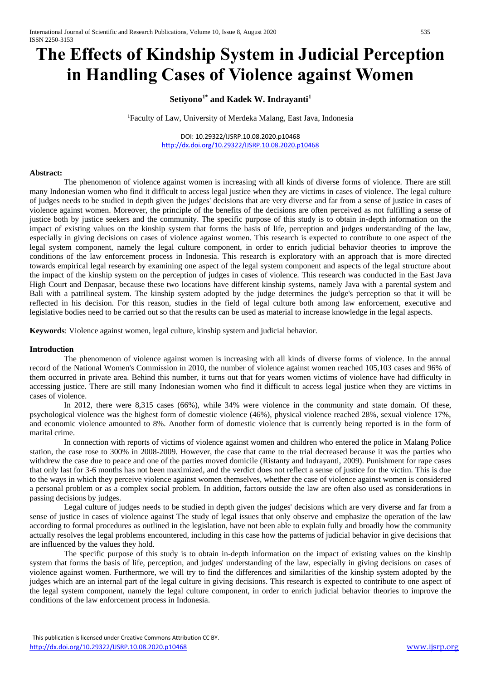# **The Effects of Kindship System in Judicial Perception in Handling Cases of Violence against Women**

# **Setiyono1\* and Kadek W. Indrayanti<sup>1</sup>**

<sup>1</sup>Faculty of Law, University of Merdeka Malang, East Java, Indonesia

DOI: 10.29322/IJSRP.10.08.2020.p10468 <http://dx.doi.org/10.29322/IJSRP.10.08.2020.p10468>

#### **Abstract:**

The phenomenon of violence against women is increasing with all kinds of diverse forms of violence. There are still many Indonesian women who find it difficult to access legal justice when they are victims in cases of violence. The legal culture of judges needs to be studied in depth given the judges' decisions that are very diverse and far from a sense of justice in cases of violence against women. Moreover, the principle of the benefits of the decisions are often perceived as not fulfilling a sense of justice both by justice seekers and the community. The specific purpose of this study is to obtain in-depth information on the impact of existing values on the kinship system that forms the basis of life, perception and judges understanding of the law, especially in giving decisions on cases of violence against women. This research is expected to contribute to one aspect of the legal system component, namely the legal culture component, in order to enrich judicial behavior theories to improve the conditions of the law enforcement process in Indonesia. This research is exploratory with an approach that is more directed towards empirical legal research by examining one aspect of the legal system component and aspects of the legal structure about the impact of the kinship system on the perception of judges in cases of violence. This research was conducted in the East Java High Court and Denpasar, because these two locations have different kinship systems, namely Java with a parental system and Bali with a patrilineal system. The kinship system adopted by the judge determines the judge's perception so that it will be reflected in his decision. For this reason, studies in the field of legal culture both among law enforcement, executive and legislative bodies need to be carried out so that the results can be used as material to increase knowledge in the legal aspects.

**Keywords**: Violence against women, legal culture, kinship system and judicial behavior.

#### **Introduction**

The phenomenon of violence against women is increasing with all kinds of diverse forms of violence. In the annual record of the National Women's Commission in 2010, the number of violence against women reached 105,103 cases and 96% of them occurred in private area. Behind this number, it turns out that for years women victims of violence have had difficulty in accessing justice. There are still many Indonesian women who find it difficult to access legal justice when they are victims in cases of violence.

In 2012, there were 8,315 cases (66%), while 34% were violence in the community and state domain. Of these, psychological violence was the highest form of domestic violence (46%), physical violence reached 28%, sexual violence 17%, and economic violence amounted to 8%. Another form of domestic violence that is currently being reported is in the form of marital crime.

In connection with reports of victims of violence against women and children who entered the police in Malang Police station, the case rose to 300% in 2008-2009. However, the case that came to the trial decreased because it was the parties who withdrew the case due to peace and one of the parties moved domicile (Ristanty and Indrayanti, 2009). Punishment for rape cases that only last for 3-6 months has not been maximized, and the verdict does not reflect a sense of justice for the victim. This is due to the ways in which they perceive violence against women themselves, whether the case of violence against women is considered a personal problem or as a complex social problem. In addition, factors outside the law are often also used as considerations in passing decisions by judges.

Legal culture of judges needs to be studied in depth given the judges' decisions which are very diverse and far from a sense of justice in cases of violence against The study of legal issues that only observe and emphasize the operation of the law according to formal procedures as outlined in the legislation, have not been able to explain fully and broadly how the community actually resolves the legal problems encountered, including in this case how the patterns of judicial behavior in give decisions that are influenced by the values they hold.

The specific purpose of this study is to obtain in-depth information on the impact of existing values on the kinship system that forms the basis of life, perception, and judges' understanding of the law, especially in giving decisions on cases of violence against women. Furthermore, we will try to find the differences and similarities of the kinship system adopted by the judges which are an internal part of the legal culture in giving decisions. This research is expected to contribute to one aspect of the legal system component, namely the legal culture component, in order to enrich judicial behavior theories to improve the conditions of the law enforcement process in Indonesia.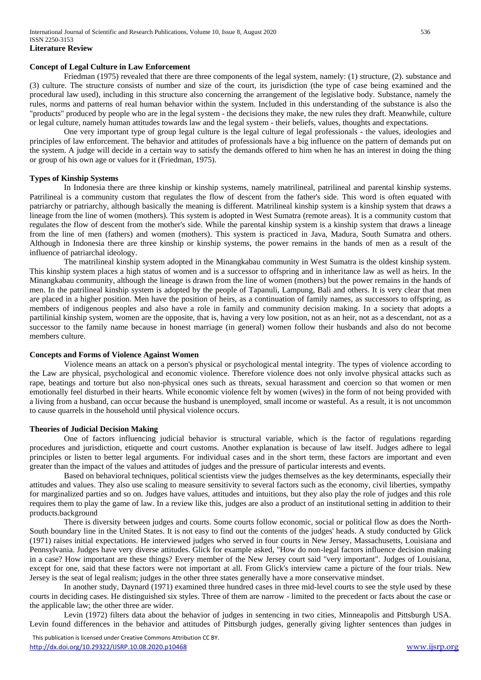#### **Concept of Legal Culture in Law Enforcement**

Friedman (1975) revealed that there are three components of the legal system, namely: (1) structure, (2). substance and (3) culture. The structure consists of number and size of the court, its jurisdiction (the type of case being examined and the procedural law used), including in this structure also concerning the arrangement of the legislative body. Substance, namely the rules, norms and patterns of real human behavior within the system. Included in this understanding of the substance is also the "products" produced by people who are in the legal system - the decisions they make, the new rules they draft. Meanwhile, culture or legal culture, namely human attitudes towards law and the legal system - their beliefs, values, thoughts and expectations.

One very important type of group legal culture is the legal culture of legal professionals - the values, ideologies and principles of law enforcement. The behavior and attitudes of professionals have a big influence on the pattern of demands put on the system. A judge will decide in a certain way to satisfy the demands offered to him when he has an interest in doing the thing or group of his own age or values for it (Friedman, 1975).

### **Types of Kinship Systems**

In Indonesia there are three kinship or kinship systems, namely matrilineal, patrilineal and parental kinship systems. Patrilineal is a community custom that regulates the flow of descent from the father's side. This word is often equated with patriarchy or patriarchy, although basically the meaning is different. Matrilineal kinship system is a kinship system that draws a lineage from the line of women (mothers). This system is adopted in West Sumatra (remote areas). It is a community custom that regulates the flow of descent from the mother's side. While the parental kinship system is a kinship system that draws a lineage from the line of men (fathers) and women (mothers). This system is practiced in Java, Madura, South Sumatra and others. Although in Indonesia there are three kinship or kinship systems, the power remains in the hands of men as a result of the influence of patriarchal ideology.

The matrilineal kinship system adopted in the Minangkabau community in West Sumatra is the oldest kinship system. This kinship system places a high status of women and is a successor to offspring and in inheritance law as well as heirs. In the Minangkabau community, although the lineage is drawn from the line of women (mothers) but the power remains in the hands of men. In the patrilineal kinship system is adopted by the people of Tapanuli, Lampung, Bali and others. It is very clear that men are placed in a higher position. Men have the position of heirs, as a continuation of family names, as successors to offspring, as members of indigenous peoples and also have a role in family and community decision making. In a society that adopts a partilinial kinship system, women are the opposite, that is, having a very low position, not as an heir, not as a descendant, not as a successor to the family name because in honest marriage (in general) women follow their husbands and also do not become members culture.

#### **Concepts and Forms of Violence Against Women**

Violence means an attack on a person's physical or psychological mental integrity. The types of violence according to the Law are physical, psychological and economic violence. Therefore violence does not only involve physical attacks such as rape, beatings and torture but also non-physical ones such as threats, sexual harassment and coercion so that women or men emotionally feel disturbed in their hearts. While economic violence felt by women (wives) in the form of not being provided with a living from a husband, can occur because the husband is unemployed, small income or wasteful. As a result, it is not uncommon to cause quarrels in the household until physical violence occurs.

#### **Theories of Judicial Decision Making**

One of factors influencing judicial behavior is structural variable, which is the factor of regulations regarding procedures and jurisdiction, etiquette and court customs. Another explanation is because of law itself. Judges adhere to legal principles or listen to better legal arguments. For individual cases and in the short term, these factors are important and even greater than the impact of the values and attitudes of judges and the pressure of particular interests and events.

Based on behavioral techniques, political scientists view the judges themselves as the key determinants, especially their attitudes and values. They also use scaling to measure sensitivity to several factors such as the economy, civil liberties, sympathy for marginalized parties and so on. Judges have values, attitudes and intuitions, but they also play the role of judges and this role requires them to play the game of law. In a review like this, judges are also a product of an institutional setting in addition to their products.background

There is diversity between judges and courts. Some courts follow economic, social or political flow as does the North-South boundary line in the United States. It is not easy to find out the contents of the judges' heads. A study conducted by Glick (1971) raises initial expectations. He interviewed judges who served in four courts in New Jersey, Massachusetts, Louisiana and Pennsylvania. Judges have very diverse attitudes. Glick for example asked, "How do non-legal factors influence decision making in a case? How important are these things? Every member of the New Jersey court said "very important". Judges of Louisiana, except for one, said that these factors were not important at all. From Glick's interview came a picture of the four trials. New Jersey is the seat of legal realism; judges in the other three states generally have a more conservative mindset.

In another study, Daynard (1971) examined three hundred cases in three mid-level courts to see the style used by these courts in deciding cases. He distinguished six styles. Three of them are narrow - limited to the precedent or facts about the case or the applicable law; the other three are wider.

Levin (1972) filters data about the behavior of judges in sentencing in two cities, Minneapolis and Pittsburgh USA. Levin found differences in the behavior and attitudes of Pittsburgh judges, generally giving lighter sentences than judges in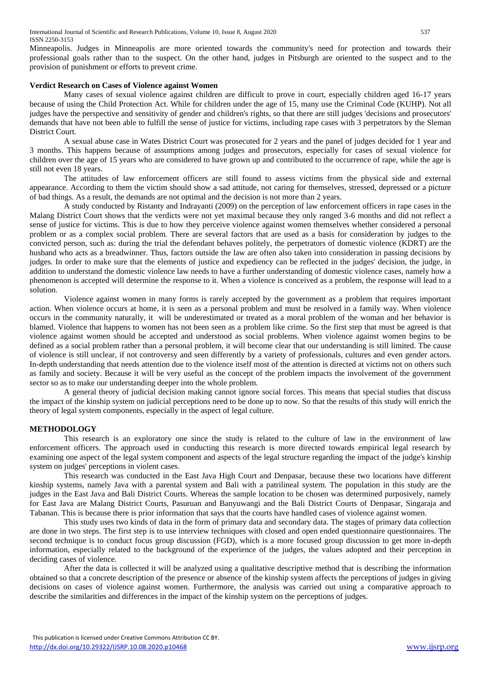Minneapolis. Judges in Minneapolis are more oriented towards the community's need for protection and towards their professional goals rather than to the suspect. On the other hand, judges in Pitsburgh are oriented to the suspect and to the provision of punishment or efforts to prevent crime.

# **Verdict Research on Cases of Violence against Women**

Many cases of sexual violence against children are difficult to prove in court, especially children aged 16-17 years because of using the Child Protection Act. While for children under the age of 15, many use the Criminal Code (KUHP). Not all judges have the perspective and sensitivity of gender and children's rights, so that there are still judges 'decisions and prosecutors' demands that have not been able to fulfill the sense of justice for victims, including rape cases with 3 perpetrators by the Sleman District Court.

A sexual abuse case in Wates District Court was prosecuted for 2 years and the panel of judges decided for 1 year and 3 months. This happens because of assumptions among judges and prosecutors, especially for cases of sexual violence for children over the age of 15 years who are considered to have grown up and contributed to the occurrence of rape, while the age is still not even 18 years.

The attitudes of law enforcement officers are still found to assess victims from the physical side and external appearance. According to them the victim should show a sad attitude, not caring for themselves, stressed, depressed or a picture of bad things. As a result, the demands are not optimal and the decision is not more than 2 years.

A study conducted by Ristanty and Indrayanti (2009) on the perception of law enforcement officers in rape cases in the Malang District Court shows that the verdicts were not yet maximal because they only ranged 3-6 months and did not reflect a sense of justice for victims. This is due to how they perceive violence against women themselves whether considered a personal problem or as a complex social problem. There are several factors that are used as a basis for consideration by judges to the convicted person, such as: during the trial the defendant behaves politely, the perpetrators of domestic violence (KDRT) are the husband who acts as a breadwinner. Thus, factors outside the law are often also taken into consideration in passing decisions by judges. In order to make sure that the elements of justice and expediency can be reflected in the judges' decision, the judge, in addition to understand the domestic violence law needs to have a further understanding of domestic violence cases, namely how a phenomenon is accepted will determine the response to it. When a violence is conceived as a problem, the response will lead to a solution.

Violence against women in many forms is rarely accepted by the government as a problem that requires important action. When violence occurs at home, it is seen as a personal problem and must be resolved in a family way. When violence occurs in the community naturally, it will be underestimated or treated as a moral problem of the woman and her behavior is blamed. Violence that happens to women has not been seen as a problem like crime. So the first step that must be agreed is that violence against women should be accepted and understood as social problems. When violence against women begins to be defined as a social problem rather than a personal problem, it will become clear that our understanding is still limited. The cause of violence is still unclear, if not controversy and seen differently by a variety of professionals, cultures and even gender actors. In-depth understanding that needs attention due to the violence itself most of the attention is directed at victims not on others such as family and society. Because it will be very useful as the concept of the problem impacts the involvement of the government sector so as to make our understanding deeper into the whole problem.

A general theory of judicial decision making cannot ignore social forces. This means that special studies that discuss the impact of the kinship system on judicial perceptions need to be done up to now. So that the results of this study will enrich the theory of legal system components, especially in the aspect of legal culture.

# **METHODOLOGY**

This research is an exploratory one since the study is related to the culture of law in the environment of law enforcement officers. The approach used in conducting this research is more directed towards empirical legal research by examining one aspect of the legal system component and aspects of the legal structure regarding the impact of the judge's kinship system on judges' perceptions in violent cases.

This research was conducted in the East Java High Court and Denpasar, because these two locations have different kinship systems, namely Java with a parental system and Bali with a patrilineal system. The population in this study are the judges in the East Java and Bali District Courts. Whereas the sample location to be chosen was determined purposively, namely for East Java are Malang District Courts, Pasuruan and Banyuwangi and the Bali District Courts of Denpasar, Singaraja and Tabanan. This is because there is prior information that says that the courts have handled cases of violence against women.

This study uses two kinds of data in the form of primary data and secondary data. The stages of primary data collection are done in two steps. The first step is to use interview techniques with closed and open ended questionnaire questionnaires. The second technique is to conduct focus group discussion (FGD), which is a more focused group discussion to get more in-depth information, especially related to the background of the experience of the judges, the values adopted and their perception in deciding cases of violence.

After the data is collected it will be analyzed using a qualitative descriptive method that is describing the information obtained so that a concrete description of the presence or absence of the kinship system affects the perceptions of judges in giving decisions on cases of violence against women. Furthermore, the analysis was carried out using a comparative approach to describe the similarities and differences in the impact of the kinship system on the perceptions of judges.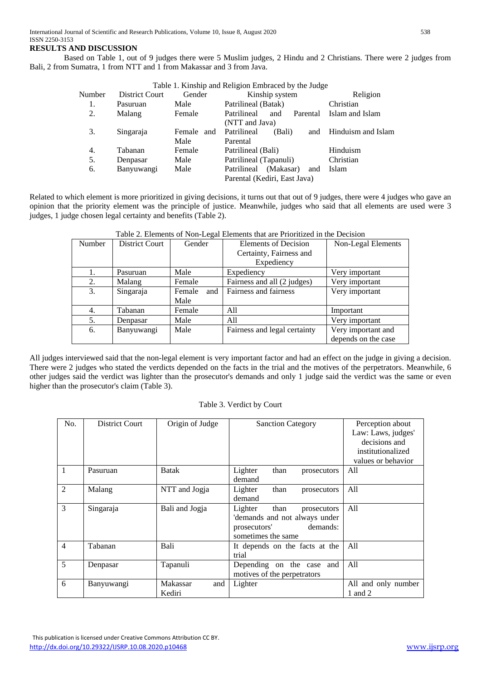# **RESULTS AND DISCUSSION**

Based on Table 1, out of 9 judges there were 5 Muslim judges, 2 Hindu and 2 Christians. There were 2 judges from Bali, 2 from Sumatra, 1 from NTT and 1 from Makassar and 3 from Java.

| Table 1. Kinship and Religion Embraced by the Judge |                |               |                                 |                    |  |  |  |
|-----------------------------------------------------|----------------|---------------|---------------------------------|--------------------|--|--|--|
| Number                                              | District Court | Gender        | Kinship system                  | Religion           |  |  |  |
| 1.                                                  | Pasuruan       | Male          | Patrilineal (Batak)             | Christian          |  |  |  |
| 2.                                                  | Malang         | Female        | Patrilineal<br>and<br>Parental  | Islam and Islam    |  |  |  |
|                                                     |                |               | (NTT and Java)                  |                    |  |  |  |
| 3.                                                  | Singaraja      | Female<br>and | Patrilineal<br>(Bali)<br>and    | Hinduism and Islam |  |  |  |
|                                                     |                | Male          | Parental                        |                    |  |  |  |
| 4.                                                  | Tabanan        | Female        | Patrilineal (Bali)              | Hinduism           |  |  |  |
| 5.                                                  | Denpasar       | Male          | Patrilineal (Tapanuli)          | Christian          |  |  |  |
| 6.                                                  | Banyuwangi     | Male          | (Makasar)<br>Patrilineal<br>and | Islam              |  |  |  |
|                                                     |                |               | Parental (Kediri, East Java)    |                    |  |  |  |

Related to which element is more prioritized in giving decisions, it turns out that out of 9 judges, there were 4 judges who gave an opinion that the priority element was the principle of justice. Meanwhile, judges who said that all elements are used were 3 judges, 1 judge chosen legal certainty and benefits (Table 2).

| raono 2. Enchionto oi 1 ton Eccan Enchionto that are i Hornizou in the Bechold |                       |               |                              |                     |  |  |
|--------------------------------------------------------------------------------|-----------------------|---------------|------------------------------|---------------------|--|--|
| Number                                                                         | <b>District Court</b> | Gender        | Elements of Decision         | Non-Legal Elements  |  |  |
|                                                                                |                       |               | Certainty, Fairness and      |                     |  |  |
|                                                                                |                       |               | Expediency                   |                     |  |  |
| 1.                                                                             | Pasuruan              | Male          | Expediency                   | Very important      |  |  |
| 2.                                                                             | Malang                | Female        | Fairness and all (2 judges)  | Very important      |  |  |
| 3.                                                                             | Singaraja             | Female<br>and | Fairness and fairness        | Very important      |  |  |
|                                                                                |                       | Male          |                              |                     |  |  |
| 4.                                                                             | Tabanan               | Female        | All                          | Important           |  |  |
| 5.                                                                             | Denpasar              | Male          | All                          | Very important      |  |  |
| 6.                                                                             | Banyuwangi            | Male          | Fairness and legal certainty | Very important and  |  |  |
|                                                                                |                       |               |                              | depends on the case |  |  |

# Table 2. Elements of Non-Legal Elements that are Prioritized in the Decision

All judges interviewed said that the non-legal element is very important factor and had an effect on the judge in giving a decision. There were 2 judges who stated the verdicts depended on the facts in the trial and the motives of the perpetrators. Meanwhile, 6 other judges said the verdict was lighter than the prosecutor's demands and only 1 judge said the verdict was the same or even higher than the prosecutor's claim (Table 3).

#### Table 3. Verdict by Court

| No.            | District Court | Origin of Judge | <b>Sanction Category</b>       | Perception about    |
|----------------|----------------|-----------------|--------------------------------|---------------------|
|                |                |                 |                                | Law: Laws, judges'  |
|                |                |                 |                                | decisions and       |
|                |                |                 |                                | institutionalized   |
|                |                |                 |                                | values or behavior  |
| $\overline{1}$ | Pasuruan       | <b>Batak</b>    | Lighter<br>than<br>prosecutors | All                 |
|                |                |                 | demand                         |                     |
| 2              | Malang         | NTT and Jogja   | Lighter<br>than<br>prosecutors | All                 |
|                |                |                 | demand                         |                     |
| 3              | Singaraja      | Bali and Jogja  | Lighter<br>than<br>prosecutors | All                 |
|                |                |                 | 'demands and not always under  |                     |
|                |                |                 | demands:<br>prosecutors'       |                     |
|                |                |                 | sometimes the same             |                     |
| $\overline{4}$ | Tabanan        | Bali            | It depends on the facts at the | All                 |
|                |                |                 | trial                          |                     |
| 5              | Denpasar       | Tapanuli        | Depending on the case and      | All                 |
|                |                |                 | motives of the perpetrators    |                     |
| 6              | Banyuwangi     | Makassar<br>and | Lighter                        | All and only number |
|                |                | Kediri          |                                | 1 and 2             |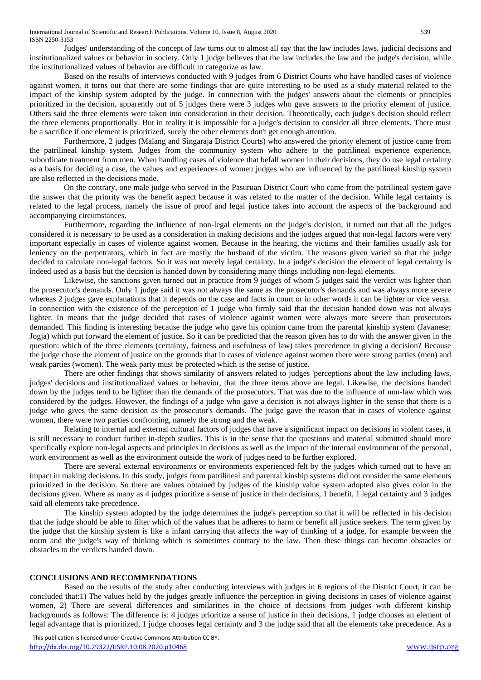Judges' understanding of the concept of law turns out to almost all say that the law includes laws, judicial decisions and institutionalized values or behavior in society. Only 1 judge believes that the law includes the law and the judge's decision, while the institutionalized values of behavior are difficult to categorize as law.

Based on the results of interviews conducted with 9 judges from 6 District Courts who have handled cases of violence against women, it turns out that there are some findings that are quite interesting to be used as a study material related to the impact of the kinship system adopted by the judge. In connection with the judges' answers about the elements or principles prioritized in the decision, apparently out of 5 judges there were 3 judges who gave answers to the priority element of justice. Others said the three elements were taken into consideration in their decision. Theoretically, each judge's decision should reflect the three elements proportionally. But in reality it is impossible for a judge's decision to consider all three elements. There must be a sacrifice if one element is prioritized, surely the other elements don't get enough attention.

Furthermore, 2 judges (Malang and Singaraja District Courts) who answered the priority element of justice came from the patrilineal kinship system. Judges from the community system who adhere to the patrilineal experience experience, subordinate treatment from men. When handling cases of violence that befall women in their decisions, they do use legal certainty as a basis for deciding a case, the values and experiences of women judges who are influenced by the patrilineal kinship system are also reflected in the decisions made.

On the contrary, one male judge who served in the Pasuruan District Court who came from the patrilineal system gave the answer that the priority was the benefit aspect because it was related to the matter of the decision. While legal certainty is related to the legal process, namely the issue of proof and legal justice takes into account the aspects of the background and accompanying circumstances.

Furthermore, regarding the influence of non-legal elements on the judge's decision, it turned out that all the judges considered it is necessary to be used as a consideration in making decisions and the judges argued that non-legal factors were very important especially in cases of violence against women. Because in the hearing, the victims and their families usually ask for leniency on the perpetrators, which in fact are mostly the husband of the victim. The reasons given varied so that the judge decided to calculate non-legal factors. So it was not merely legal certainty. In a judge's decision the element of legal certainty is indeed used as a basis but the decision is handed down by considering many things including non-legal elements.

Likewise, the sanctions given turned out in practice from 9 judges of whom 5 judges said the verdict was lighter than the prosecutor's demands. Only 1 judge said it was not always the same as the prosecutor's demands and was always more severe whereas 2 judges gave explanations that it depends on the case and facts in court or in other words it can be lighter or vice versa. In connection with the existence of the perception of 1 judge who firmly said that the decision handed down was not always lighter. In means that the judge decided that cases of violence against women were always more severe than prosecutors demanded. This finding is interesting because the judge who gave his opinion came from the parental kinship system (Javanese: Jogja) which put forward the element of justice. So it can be predicted that the reason given has to do with the answer given in the question: which of the three elements (certainty, fairness and usefulness of law) takes precedence in giving a decision? Because the judge chose the element of justice on the grounds that in cases of violence against women there were strong parties (men) and weak parties (women). The weak party must be protected which is the sense of justice.

There are other findings that shows similarity of answers related to judges 'perceptions about the law including laws, judges' decisions and institutionalized values or behavior, that the three items above are legal. Likewise, the decisions handed down by the judges tend to be lighter than the demands of the prosecutors. That was due to the influence of non-law which was considered by the judges. However, the findings of a judge who gave a decision is not always lighter in the sense that there is a judge who gives the same decision as the prosecutor's demands. The judge gave the reason that in cases of violence against women, there were two parties confronting, namely the strong and the weak.

Relating to internal and external cultural factors of judges that have a significant impact on decisions in violent cases, it is still necessary to conduct further in-depth studies. This is in the sense that the questions and material submitted should more specifically explore non-legal aspects and principles in decisions as well as the impact of the internal environment of the personal, work environment as well as the environment outside the work of judges need to be further explored.

There are several external environments or environments experienced felt by the judges which turned out to have an impact in making decisions. In this study, judges from patrilineal and parental kinship systems did not consider the same elements prioritized in the decision. So there are values obtained by judges of the kinship value system adopted also gives color in the decisions given. Where as many as 4 judges prioritize a sense of justice in their decisions, 1 benefit, 1 legal certainty and 3 judges said all elements take precedence.

The kinship system adopted by the judge determines the judge's perception so that it will be reflected in his decision that the judge should be able to filter which of the values that he adheres to harm or benefit all justice seekers. The term given by the judge that the kinship system is like a infant carrying that affects the way of thinking of a judge, for example between the norm and the judge's way of thinking which is sometimes contrary to the law. Then these things can become obstacles or obstacles to the verdicts handed down.

#### **CONCLUSIONS AND RECOMMENDATIONS**

Based on the results of the study after conducting interviews with judges in 6 regions of the District Court, it can be concluded that:1) The values held by the judges greatly influence the perception in giving decisions in cases of violence against women, 2) There are several differences and similarities in the choice of decisions from judges with different kinship backgrounds as follows: The difference is: 4 judges prioritize a sense of justice in their decisions, 1 judge chooses an element of legal advantage that is prioritized, 1 judge chooses legal certainty and 3 the judge said that all the elements take precedence. As a